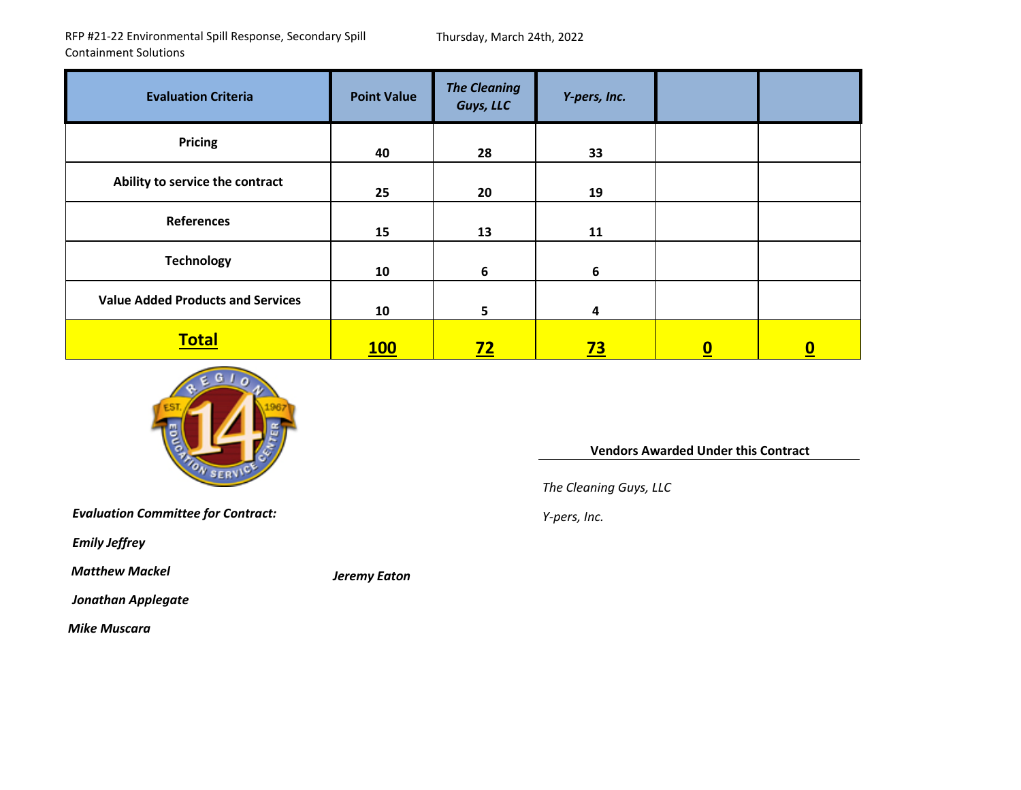RFP #21‐22 Environmental Spill Response, Secondary Spill Containment Solutions

Thursday, March 24th, 2022

| <b>Evaluation Criteria</b>               | <b>Point Value</b> | <b>The Cleaning</b><br>Guys, LLC | Y-pers, Inc. |          |                          |
|------------------------------------------|--------------------|----------------------------------|--------------|----------|--------------------------|
| <b>Pricing</b>                           | 40                 | 28                               | 33           |          |                          |
| Ability to service the contract          | 25                 | 20                               | 19           |          |                          |
| References                               | 15                 | 13                               | 11           |          |                          |
| <b>Technology</b>                        | 10                 | 6                                | 6            |          |                          |
| <b>Value Added Products and Services</b> | 10                 | 5                                | 4            |          |                          |
| <b>Total</b>                             | <b>100</b>         | <u>72 </u>                       | <u>73</u>    | <u>0</u> | $\underline{\mathbf{0}}$ |

*Mackel Jeremy Eaton*



**Vendors Awarded Under this Contract**

*The Cleaning Guys, LLC*

*Evaluation Committee for Contract: <sup>Y</sup>‐pers, Inc.*

*Emily Jeffrey*

*Matthew*

*Jonathan Applegate*

*Mike Muscara*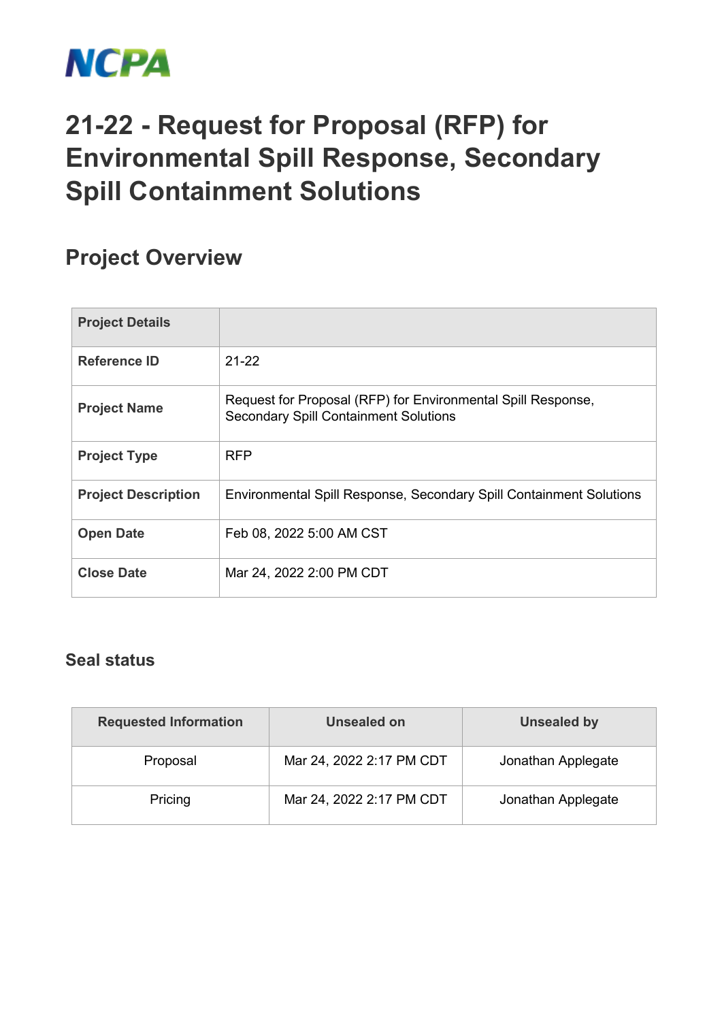

## **21-22 - Request for Proposal (RFP) for Environmental Spill Response, Secondary Spill Containment Solutions**

## **Project Overview**

| <b>Project Details</b>     |                                                                                                              |
|----------------------------|--------------------------------------------------------------------------------------------------------------|
| Reference ID               | $21 - 22$                                                                                                    |
| <b>Project Name</b>        | Request for Proposal (RFP) for Environmental Spill Response,<br><b>Secondary Spill Containment Solutions</b> |
| <b>Project Type</b>        | <b>RFP</b>                                                                                                   |
| <b>Project Description</b> | Environmental Spill Response, Secondary Spill Containment Solutions                                          |
| <b>Open Date</b>           | Feb 08, 2022 5:00 AM CST                                                                                     |
| <b>Close Date</b>          | Mar 24, 2022 2:00 PM CDT                                                                                     |

## **Seal status**

| <b>Requested Information</b> | Unsealed on              | Unsealed by        |  |
|------------------------------|--------------------------|--------------------|--|
| Proposal                     | Mar 24, 2022 2:17 PM CDT | Jonathan Applegate |  |
| Pricing                      | Mar 24, 2022 2:17 PM CDT | Jonathan Applegate |  |